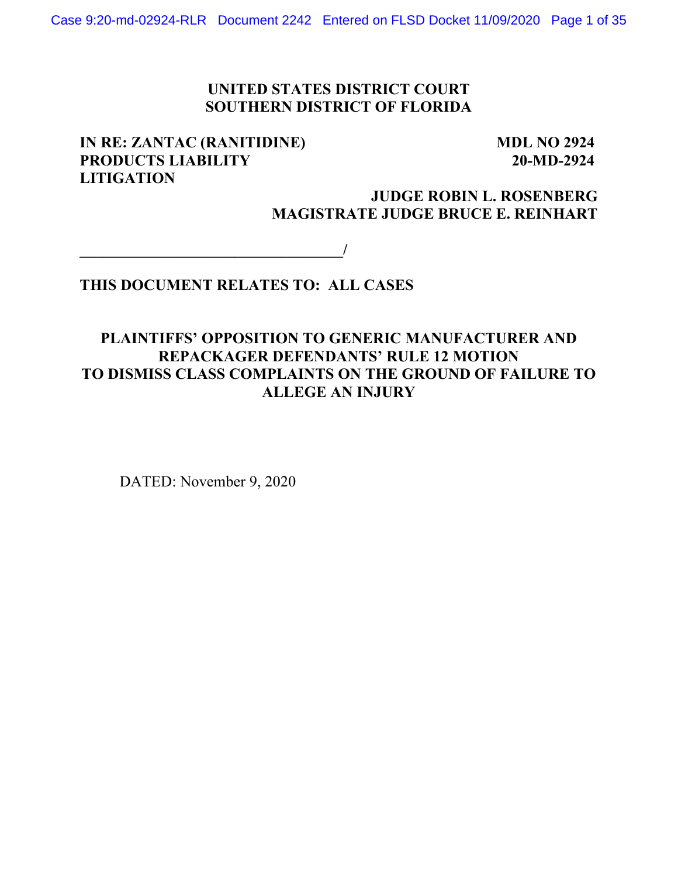## **UNITED STATES DISTRICT COURT SOUTHERN DISTRICT OF FLORIDA**

## **IN RE: ZANTAC (RANITIDINE) MDL NO 2924 PRODUCTS LIABILITY 20-MD-2924 LITIGATION**

## **JUDGE ROBIN L. ROSENBERG MAGISTRATE JUDGE BRUCE E. REINHART**

**\_\_\_\_\_\_\_\_\_\_\_\_\_\_\_\_\_\_\_\_\_\_\_\_\_\_\_\_\_\_\_\_\_\_/** 

## **THIS DOCUMENT RELATES TO: ALL CASES**

## **PLAINTIFFS' OPPOSITION TO GENERIC MANUFACTURER AND REPACKAGER DEFENDANTS' RULE 12 MOTION TO DISMISS CLASS COMPLAINTS ON THE GROUND OF FAILURE TO ALLEGE AN INJURY**

DATED: November 9, 2020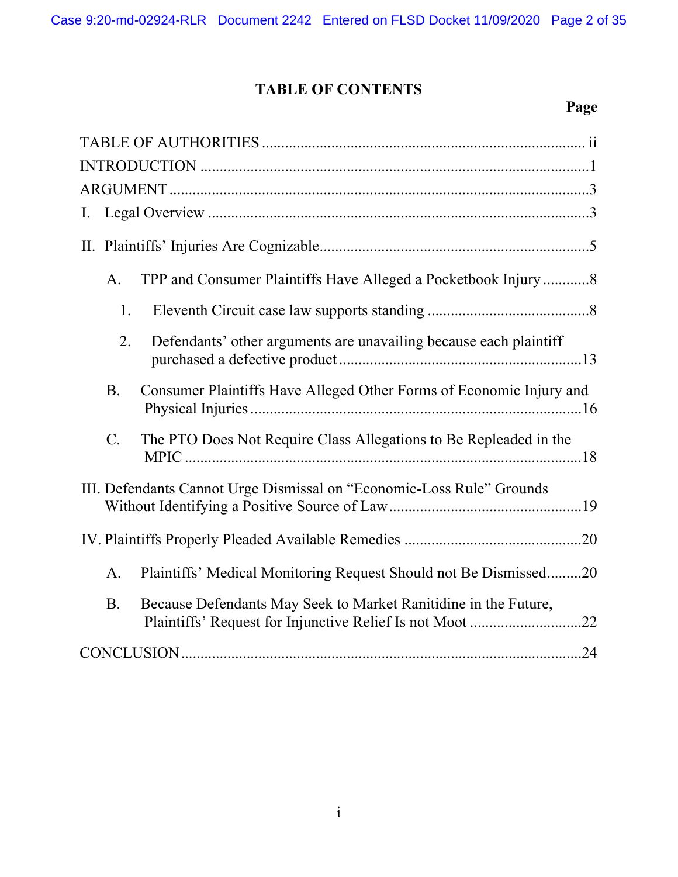# **TABLE OF CONTENTS**

# **Page**

| Ι.                                                                                  |
|-------------------------------------------------------------------------------------|
|                                                                                     |
| TPP and Consumer Plaintiffs Have Alleged a Pocketbook Injury8<br>A.                 |
| 1.                                                                                  |
| 2.<br>Defendants' other arguments are unavailing because each plaintiff             |
| <b>B.</b><br>Consumer Plaintiffs Have Alleged Other Forms of Economic Injury and    |
| $\mathbf{C}$ .<br>The PTO Does Not Require Class Allegations to Be Repleaded in the |
| III. Defendants Cannot Urge Dismissal on "Economic-Loss Rule" Grounds               |
|                                                                                     |
| Plaintiffs' Medical Monitoring Request Should not Be Dismissed20<br>A.              |
| <b>B.</b><br>Because Defendants May Seek to Market Ranitidine in the Future,        |
|                                                                                     |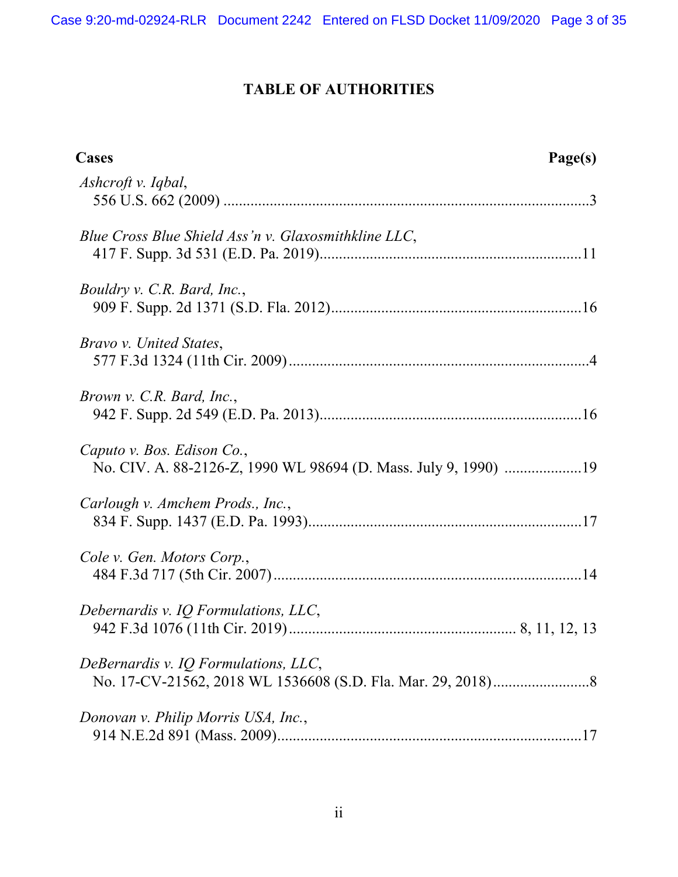# **TABLE OF AUTHORITIES**

| Cases                                                                                         | Page(s) |
|-----------------------------------------------------------------------------------------------|---------|
| Ashcroft v. Iqbal,                                                                            |         |
| Blue Cross Blue Shield Ass'n v. Glaxosmithkline LLC,                                          |         |
| Bouldry v. C.R. Bard, Inc.,                                                                   |         |
| <i>Bravo v. United States,</i>                                                                |         |
| Brown v. C.R. Bard, Inc.,                                                                     |         |
| Caputo v. Bos. Edison Co.,<br>No. CIV. A. 88-2126-Z, 1990 WL 98694 (D. Mass. July 9, 1990) 19 |         |
| Carlough v. Amchem Prods., Inc.,                                                              |         |
| Cole v. Gen. Motors Corp.,                                                                    |         |
| Debernardis v. IQ Formulations, LLC,                                                          |         |
| DeBernardis v. IQ Formulations, LLC,                                                          |         |
| Donovan v. Philip Morris USA, Inc.,                                                           |         |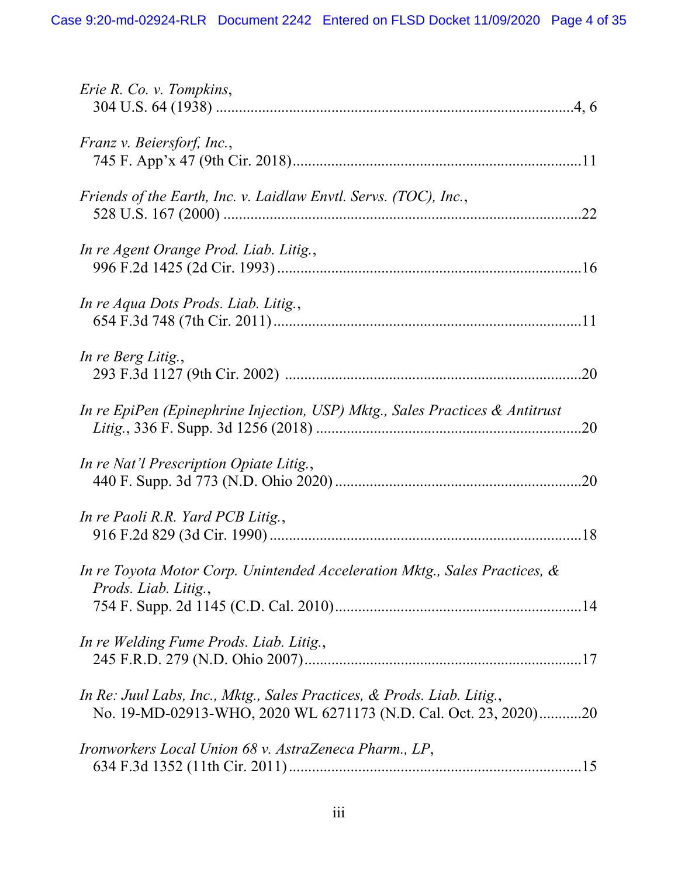| Erie R. Co. v. Tompkins,                                                                                                                   |
|--------------------------------------------------------------------------------------------------------------------------------------------|
| Franz v. Beiersforf, Inc.,                                                                                                                 |
| Friends of the Earth, Inc. v. Laidlaw Envtl. Servs. (TOC), Inc.,                                                                           |
| In re Agent Orange Prod. Liab. Litig.,                                                                                                     |
| In re Aqua Dots Prods. Liab. Litig.,                                                                                                       |
| In re Berg Litig.,                                                                                                                         |
| In re EpiPen (Epinephrine Injection, USP) Mktg., Sales Practices & Antitrust                                                               |
| In re Nat'l Prescription Opiate Litig.,                                                                                                    |
| In re Paoli R.R. Yard PCB Litig.,                                                                                                          |
| In re Toyota Motor Corp. Unintended Acceleration Mktg., Sales Practices, &<br>Prods. Liab. Litig.,                                         |
| In re Welding Fume Prods. Liab. Litig.,                                                                                                    |
| In Re: Juul Labs, Inc., Mktg., Sales Practices, & Prods. Liab. Litig.,<br>No. 19-MD-02913-WHO, 2020 WL 6271173 (N.D. Cal. Oct. 23, 2020)20 |
| Ironworkers Local Union 68 v. AstraZeneca Pharm., LP,                                                                                      |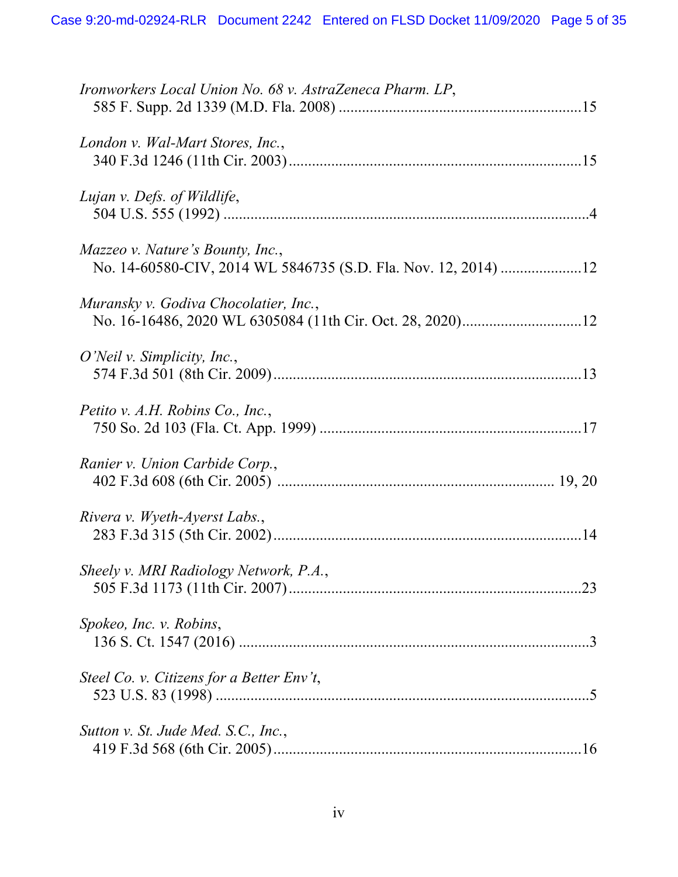| Ironworkers Local Union No. 68 v. AstraZeneca Pharm. LP,                                                  |
|-----------------------------------------------------------------------------------------------------------|
| London v. Wal-Mart Stores, Inc.,                                                                          |
| Lujan v. Defs. of Wildlife,                                                                               |
| <i>Mazzeo v. Nature's Bounty, Inc.,</i><br>No. 14-60580-CIV, 2014 WL 5846735 (S.D. Fla. Nov. 12, 2014) 12 |
| Muransky v. Godiva Chocolatier, Inc.,                                                                     |
| O'Neil v. Simplicity, Inc.,                                                                               |
| Petito v. A.H. Robins Co., Inc.,                                                                          |
| Ranier v. Union Carbide Corp.,                                                                            |
| Rivera v. Wyeth-Ayerst Labs.,                                                                             |
| Sheely v. MRI Radiology Network, P.A.,                                                                    |
| Spokeo, Inc. v. Robins,                                                                                   |
| Steel Co. v. Citizens for a Better Env't,                                                                 |
| Sutton v. St. Jude Med. S.C., Inc.,                                                                       |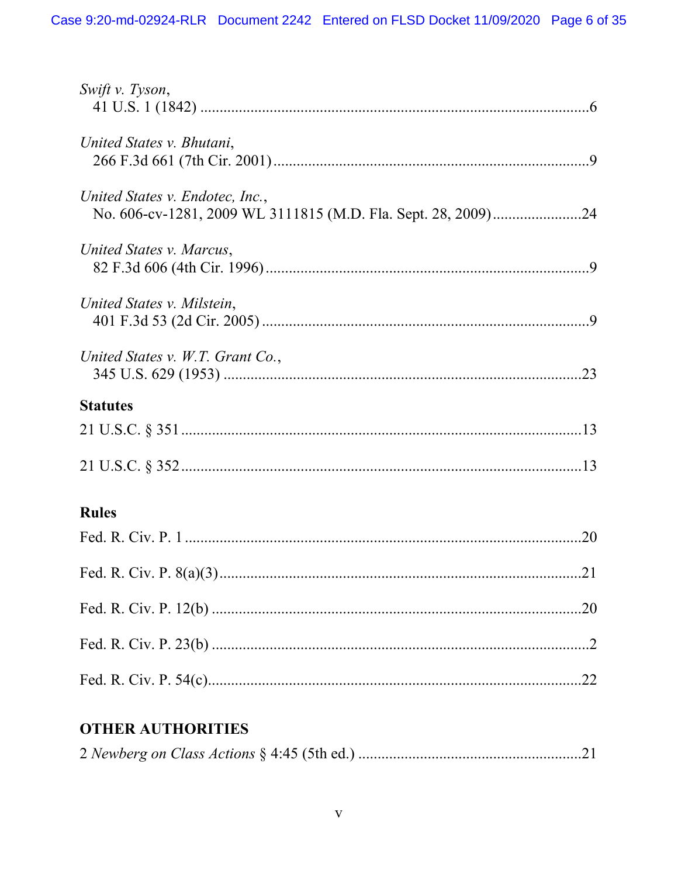| Swift v. Tyson,                                                                                  |
|--------------------------------------------------------------------------------------------------|
| United States v. Bhutani,                                                                        |
| United States v. Endotec, Inc.,<br>No. 606-cv-1281, 2009 WL 3111815 (M.D. Fla. Sept. 28, 2009)24 |
| United States v. Marcus,                                                                         |
| United States v. Milstein,                                                                       |
| United States v. W.T. Grant Co.,                                                                 |
| <b>Statutes</b>                                                                                  |
|                                                                                                  |
|                                                                                                  |
| <b>Rules</b>                                                                                     |
|                                                                                                  |
| .21                                                                                              |
|                                                                                                  |
|                                                                                                  |
|                                                                                                  |
| <b>OTHER AUTHORITIES</b>                                                                         |

#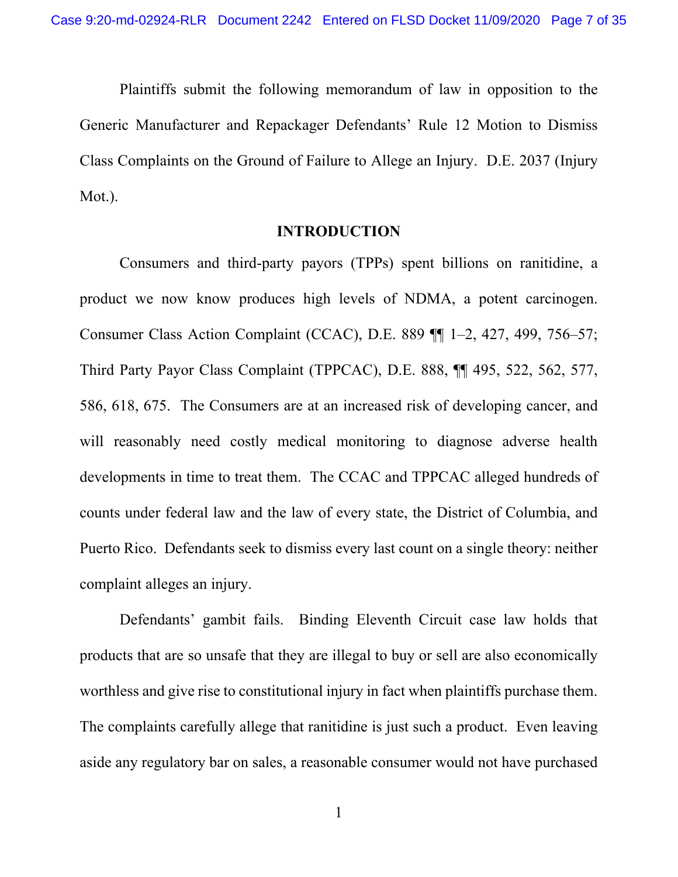Plaintiffs submit the following memorandum of law in opposition to the Generic Manufacturer and Repackager Defendants' Rule 12 Motion to Dismiss Class Complaints on the Ground of Failure to Allege an Injury. D.E. 2037 (Injury Mot.).

#### **INTRODUCTION**

Consumers and third-party payors (TPPs) spent billions on ranitidine, a product we now know produces high levels of NDMA, a potent carcinogen. Consumer Class Action Complaint (CCAC), D.E. 889 ¶¶ 1–2, 427, 499, 756–57; Third Party Payor Class Complaint (TPPCAC), D.E. 888, ¶¶ 495, 522, 562, 577, 586, 618, 675. The Consumers are at an increased risk of developing cancer, and will reasonably need costly medical monitoring to diagnose adverse health developments in time to treat them. The CCAC and TPPCAC alleged hundreds of counts under federal law and the law of every state, the District of Columbia, and Puerto Rico. Defendants seek to dismiss every last count on a single theory: neither complaint alleges an injury.

Defendants' gambit fails. Binding Eleventh Circuit case law holds that products that are so unsafe that they are illegal to buy or sell are also economically worthless and give rise to constitutional injury in fact when plaintiffs purchase them. The complaints carefully allege that ranitidine is just such a product. Even leaving aside any regulatory bar on sales, a reasonable consumer would not have purchased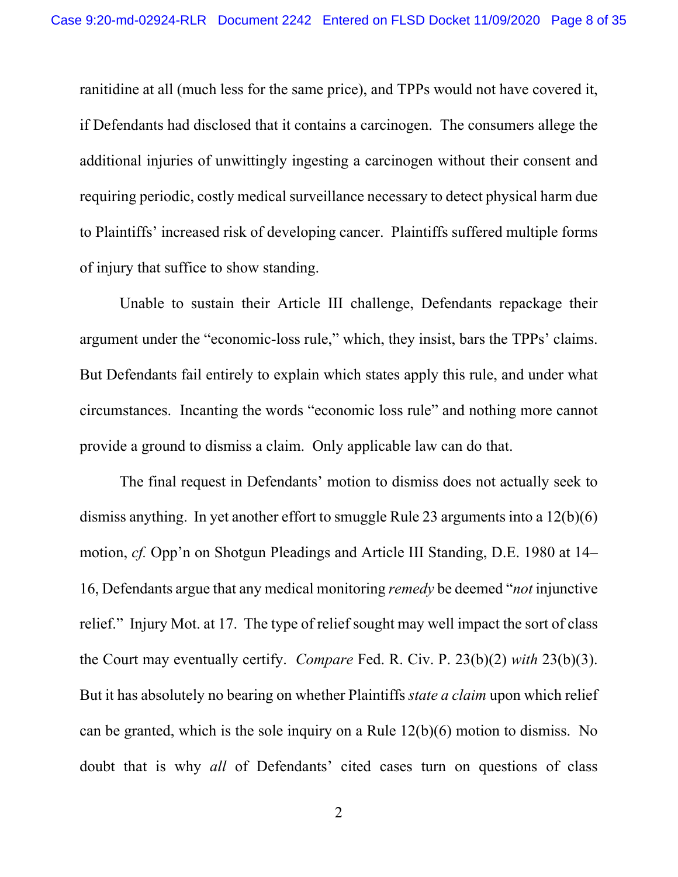ranitidine at all (much less for the same price), and TPPs would not have covered it, if Defendants had disclosed that it contains a carcinogen. The consumers allege the additional injuries of unwittingly ingesting a carcinogen without their consent and requiring periodic, costly medical surveillance necessary to detect physical harm due to Plaintiffs' increased risk of developing cancer. Plaintiffs suffered multiple forms of injury that suffice to show standing.

Unable to sustain their Article III challenge, Defendants repackage their argument under the "economic-loss rule," which, they insist, bars the TPPs' claims. But Defendants fail entirely to explain which states apply this rule, and under what circumstances. Incanting the words "economic loss rule" and nothing more cannot provide a ground to dismiss a claim. Only applicable law can do that.

The final request in Defendants' motion to dismiss does not actually seek to dismiss anything. In yet another effort to smuggle Rule 23 arguments into a 12(b)(6) motion, *cf.* Opp'n on Shotgun Pleadings and Article III Standing, D.E. 1980 at 14– 16, Defendants argue that any medical monitoring *remedy* be deemed "*not* injunctive relief." Injury Mot. at 17. The type of relief sought may well impact the sort of class the Court may eventually certify. *Compare* Fed. R. Civ. P. 23(b)(2) *with* 23(b)(3). But it has absolutely no bearing on whether Plaintiffs *state a claim* upon which relief can be granted, which is the sole inquiry on a Rule 12(b)(6) motion to dismiss. No doubt that is why *all* of Defendants' cited cases turn on questions of class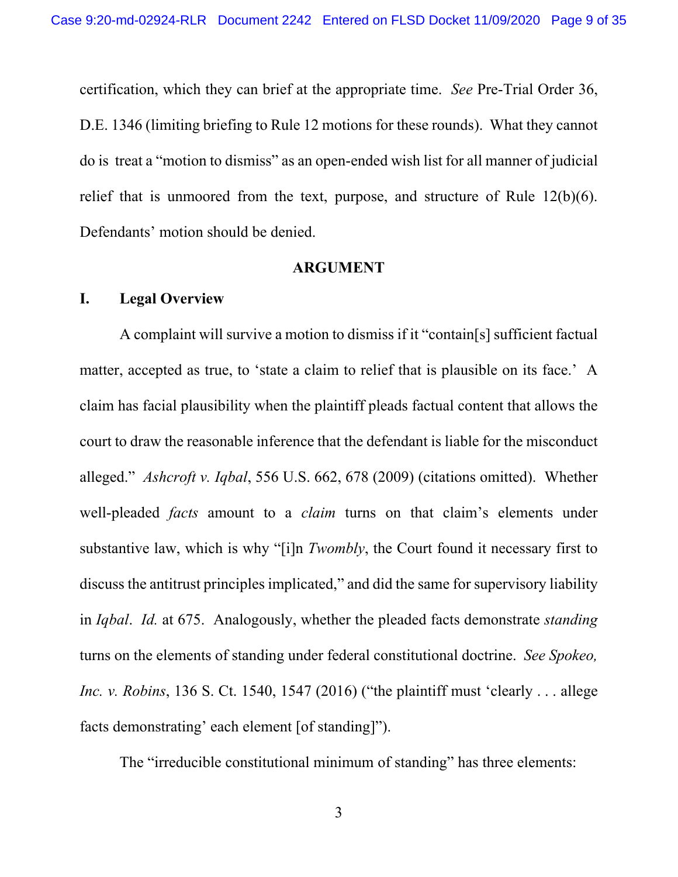certification, which they can brief at the appropriate time. *See* Pre-Trial Order 36, D.E. 1346 (limiting briefing to Rule 12 motions for these rounds). What they cannot do is treat a "motion to dismiss" as an open-ended wish list for all manner of judicial relief that is unmoored from the text, purpose, and structure of Rule 12(b)(6). Defendants' motion should be denied.

#### **ARGUMENT**

### **I. Legal Overview**

A complaint will survive a motion to dismiss if it "contain[s] sufficient factual matter, accepted as true, to 'state a claim to relief that is plausible on its face.' A claim has facial plausibility when the plaintiff pleads factual content that allows the court to draw the reasonable inference that the defendant is liable for the misconduct alleged." *Ashcroft v. Iqbal*, 556 U.S. 662, 678 (2009) (citations omitted). Whether well-pleaded *facts* amount to a *claim* turns on that claim's elements under substantive law, which is why "[i]n *Twombly*, the Court found it necessary first to discuss the antitrust principles implicated," and did the same for supervisory liability in *Iqbal*. *Id.* at 675. Analogously, whether the pleaded facts demonstrate *standing* turns on the elements of standing under federal constitutional doctrine. *See Spokeo, Inc. v. Robins*, 136 S. Ct. 1540, 1547 (2016) ("the plaintiff must 'clearly . . . allege facts demonstrating' each element [of standing]").

The "irreducible constitutional minimum of standing" has three elements: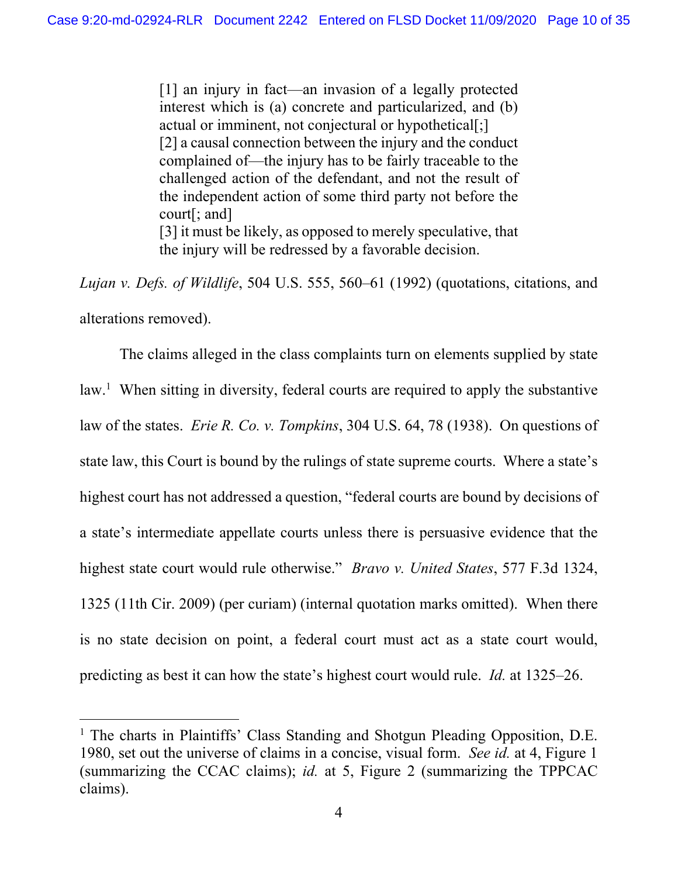[1] an injury in fact—an invasion of a legally protected interest which is (a) concrete and particularized, and (b) actual or imminent, not conjectural or hypothetical[;] [2] a causal connection between the injury and the conduct complained of—the injury has to be fairly traceable to the challenged action of the defendant, and not the result of the independent action of some third party not before the court[; and] [3] it must be likely, as opposed to merely speculative, that the injury will be redressed by a favorable decision.

*Lujan v. Defs. of Wildlife*, 504 U.S. 555, 560–61 (1992) (quotations, citations, and alterations removed).

The claims alleged in the class complaints turn on elements supplied by state law.<sup>1</sup> When sitting in diversity, federal courts are required to apply the substantive law of the states. *Erie R. Co. v. Tompkins*, 304 U.S. 64, 78 (1938). On questions of state law, this Court is bound by the rulings of state supreme courts. Where a state's highest court has not addressed a question, "federal courts are bound by decisions of a state's intermediate appellate courts unless there is persuasive evidence that the highest state court would rule otherwise." *Bravo v. United States*, 577 F.3d 1324, 1325 (11th Cir. 2009) (per curiam) (internal quotation marks omitted). When there is no state decision on point, a federal court must act as a state court would, predicting as best it can how the state's highest court would rule. *Id.* at 1325–26.

<sup>&</sup>lt;sup>1</sup> The charts in Plaintiffs' Class Standing and Shotgun Pleading Opposition, D.E. 1980, set out the universe of claims in a concise, visual form. *See id.* at 4, Figure 1 (summarizing the CCAC claims); *id.* at 5, Figure 2 (summarizing the TPPCAC claims).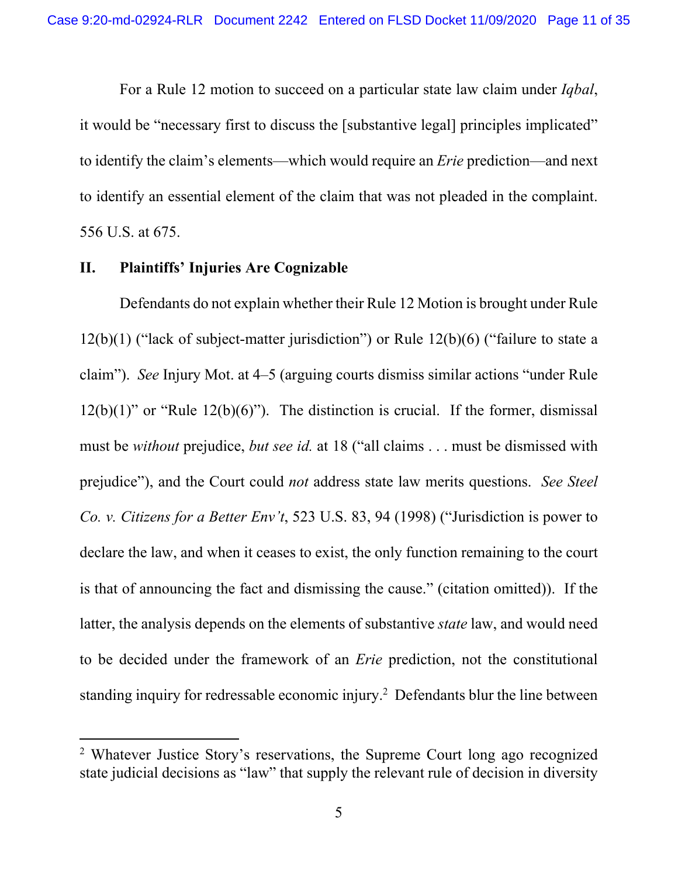For a Rule 12 motion to succeed on a particular state law claim under *Iqbal*, it would be "necessary first to discuss the [substantive legal] principles implicated" to identify the claim's elements—which would require an *Erie* prediction—and next to identify an essential element of the claim that was not pleaded in the complaint. 556 U.S. at 675.

## **II. Plaintiffs' Injuries Are Cognizable**

Defendants do not explain whether their Rule 12 Motion is brought under Rule 12(b)(1) ("lack of subject-matter jurisdiction") or Rule 12(b)(6) ("failure to state a claim"). *See* Injury Mot. at 4–5 (arguing courts dismiss similar actions "under Rule  $12(b)(1)$ " or "Rule  $12(b)(6)$ "). The distinction is crucial. If the former, dismissal must be *without* prejudice, *but see id.* at 18 ("all claims . . . must be dismissed with prejudice"), and the Court could *not* address state law merits questions. *See Steel Co. v. Citizens for a Better Env't*, 523 U.S. 83, 94 (1998) ("Jurisdiction is power to declare the law, and when it ceases to exist, the only function remaining to the court is that of announcing the fact and dismissing the cause." (citation omitted)). If the latter, the analysis depends on the elements of substantive *state* law, and would need to be decided under the framework of an *Erie* prediction, not the constitutional standing inquiry for redressable economic injury.<sup>2</sup> Defendants blur the line between

<sup>&</sup>lt;sup>2</sup> Whatever Justice Story's reservations, the Supreme Court long ago recognized state judicial decisions as "law" that supply the relevant rule of decision in diversity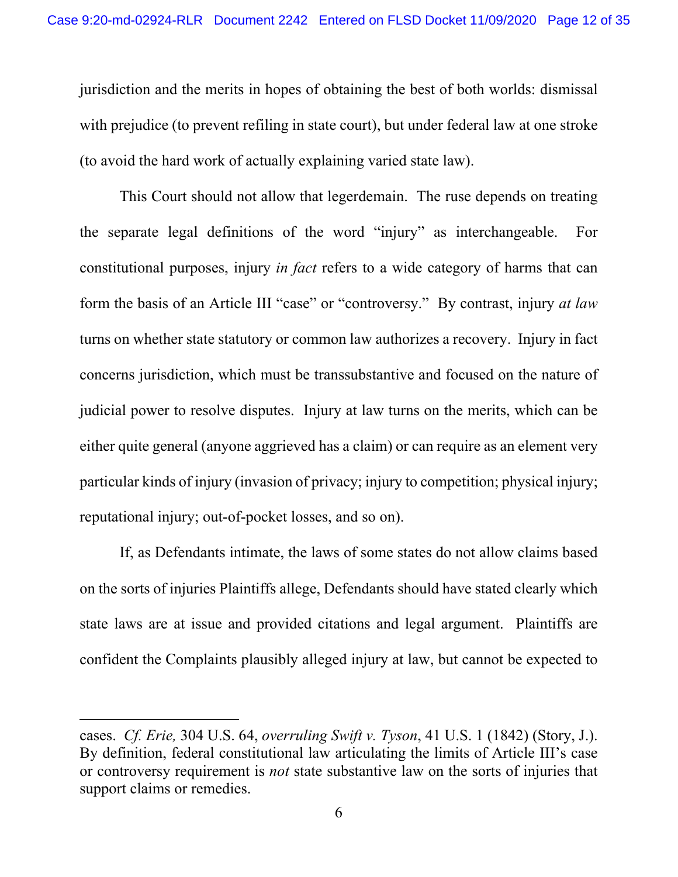jurisdiction and the merits in hopes of obtaining the best of both worlds: dismissal with prejudice (to prevent refiling in state court), but under federal law at one stroke (to avoid the hard work of actually explaining varied state law).

This Court should not allow that legerdemain. The ruse depends on treating the separate legal definitions of the word "injury" as interchangeable. For constitutional purposes, injury *in fact* refers to a wide category of harms that can form the basis of an Article III "case" or "controversy." By contrast, injury *at law* turns on whether state statutory or common law authorizes a recovery. Injury in fact concerns jurisdiction, which must be transsubstantive and focused on the nature of judicial power to resolve disputes. Injury at law turns on the merits, which can be either quite general (anyone aggrieved has a claim) or can require as an element very particular kinds of injury (invasion of privacy; injury to competition; physical injury; reputational injury; out-of-pocket losses, and so on).

If, as Defendants intimate, the laws of some states do not allow claims based on the sorts of injuries Plaintiffs allege, Defendants should have stated clearly which state laws are at issue and provided citations and legal argument. Plaintiffs are confident the Complaints plausibly alleged injury at law, but cannot be expected to

cases. *Cf. Erie,* 304 U.S. 64, *overruling Swift v. Tyson*, 41 U.S. 1 (1842) (Story, J.). By definition, federal constitutional law articulating the limits of Article III's case or controversy requirement is *not* state substantive law on the sorts of injuries that support claims or remedies.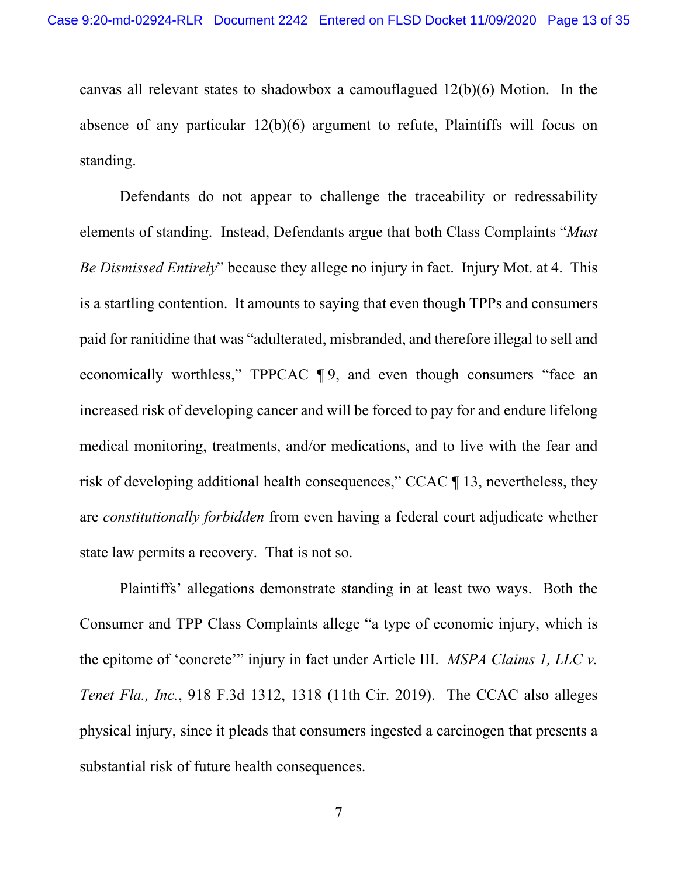canvas all relevant states to shadowbox a camouflagued 12(b)(6) Motion. In the absence of any particular 12(b)(6) argument to refute, Plaintiffs will focus on standing.

Defendants do not appear to challenge the traceability or redressability elements of standing. Instead, Defendants argue that both Class Complaints "*Must Be Dismissed Entirely*" because they allege no injury in fact. Injury Mot. at 4. This is a startling contention. It amounts to saying that even though TPPs and consumers paid for ranitidine that was "adulterated, misbranded, and therefore illegal to sell and economically worthless," TPPCAC  $\P$ 9, and even though consumers "face an increased risk of developing cancer and will be forced to pay for and endure lifelong medical monitoring, treatments, and/or medications, and to live with the fear and risk of developing additional health consequences," CCAC ¶ 13, nevertheless, they are *constitutionally forbidden* from even having a federal court adjudicate whether state law permits a recovery. That is not so.

Plaintiffs' allegations demonstrate standing in at least two ways. Both the Consumer and TPP Class Complaints allege "a type of economic injury, which is the epitome of 'concrete'" injury in fact under Article III. *MSPA Claims 1, LLC v. Tenet Fla., Inc.*, 918 F.3d 1312, 1318 (11th Cir. 2019). The CCAC also alleges physical injury, since it pleads that consumers ingested a carcinogen that presents a substantial risk of future health consequences.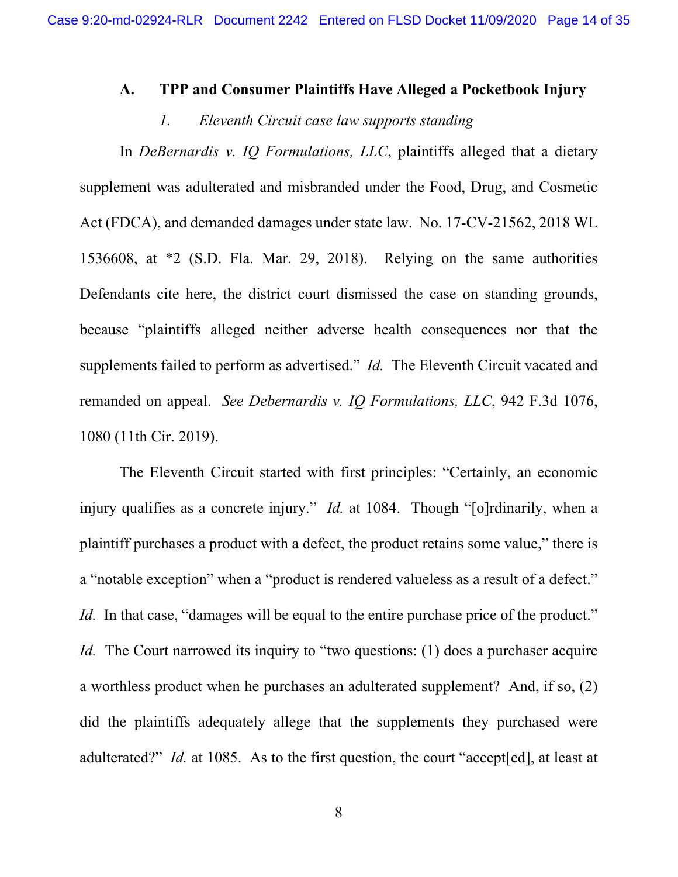#### **A. TPP and Consumer Plaintiffs Have Alleged a Pocketbook Injury**

#### *1. Eleventh Circuit case law supports standing*

In *DeBernardis v. IQ Formulations, LLC*, plaintiffs alleged that a dietary supplement was adulterated and misbranded under the Food, Drug, and Cosmetic Act (FDCA), and demanded damages under state law. No. 17-CV-21562, 2018 WL 1536608, at \*2 (S.D. Fla. Mar. 29, 2018). Relying on the same authorities Defendants cite here, the district court dismissed the case on standing grounds, because "plaintiffs alleged neither adverse health consequences nor that the supplements failed to perform as advertised." *Id.* The Eleventh Circuit vacated and remanded on appeal. *See Debernardis v. IQ Formulations, LLC*, 942 F.3d 1076, 1080 (11th Cir. 2019).

The Eleventh Circuit started with first principles: "Certainly, an economic injury qualifies as a concrete injury." *Id.* at 1084. Though "[o]rdinarily, when a plaintiff purchases a product with a defect, the product retains some value," there is a "notable exception" when a "product is rendered valueless as a result of a defect." *Id.* In that case, "damages will be equal to the entire purchase price of the product." *Id.* The Court narrowed its inquiry to "two questions: (1) does a purchaser acquire a worthless product when he purchases an adulterated supplement? And, if so, (2) did the plaintiffs adequately allege that the supplements they purchased were adulterated?" *Id.* at 1085. As to the first question, the court "accept[ed], at least at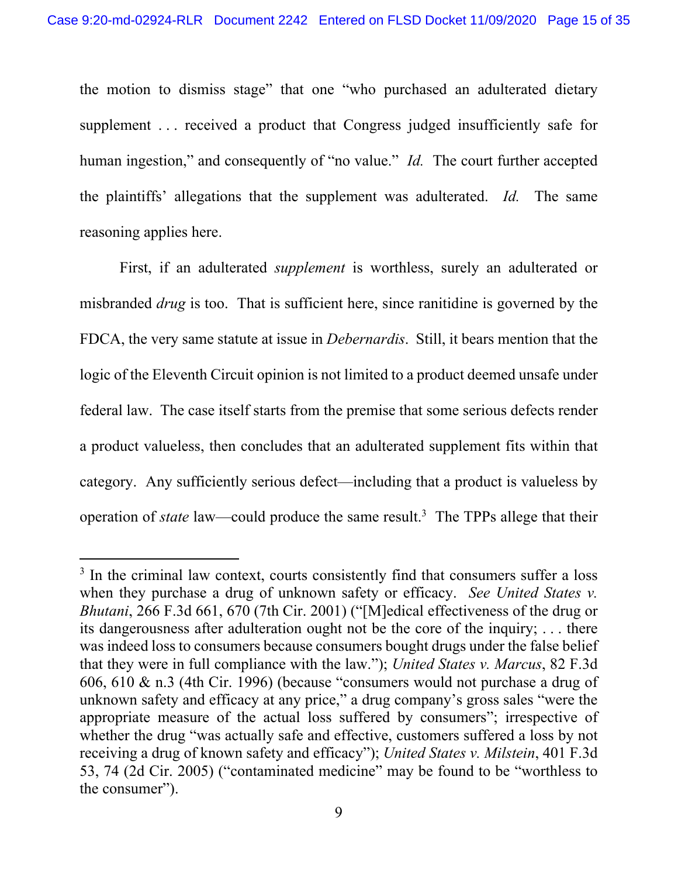the motion to dismiss stage" that one "who purchased an adulterated dietary supplement . . . received a product that Congress judged insufficiently safe for human ingestion," and consequently of "no value." *Id.* The court further accepted the plaintiffs' allegations that the supplement was adulterated. *Id.* The same reasoning applies here.

First, if an adulterated *supplement* is worthless, surely an adulterated or misbranded *drug* is too. That is sufficient here, since ranitidine is governed by the FDCA, the very same statute at issue in *Debernardis*. Still, it bears mention that the logic of the Eleventh Circuit opinion is not limited to a product deemed unsafe under federal law. The case itself starts from the premise that some serious defects render a product valueless, then concludes that an adulterated supplement fits within that category. Any sufficiently serious defect—including that a product is valueless by operation of *state* law—could produce the same result.<sup>3</sup> The TPPs allege that their

<sup>&</sup>lt;sup>3</sup> In the criminal law context, courts consistently find that consumers suffer a loss when they purchase a drug of unknown safety or efficacy. *See United States v. Bhutani*, 266 F.3d 661, 670 (7th Cir. 2001) ("[M]edical effectiveness of the drug or its dangerousness after adulteration ought not be the core of the inquiry; . . . there was indeed loss to consumers because consumers bought drugs under the false belief that they were in full compliance with the law."); *United States v. Marcus*, 82 F.3d 606, 610 & n.3 (4th Cir. 1996) (because "consumers would not purchase a drug of unknown safety and efficacy at any price," a drug company's gross sales "were the appropriate measure of the actual loss suffered by consumers"; irrespective of whether the drug "was actually safe and effective, customers suffered a loss by not receiving a drug of known safety and efficacy"); *United States v. Milstein*, 401 F.3d 53, 74 (2d Cir. 2005) ("contaminated medicine" may be found to be "worthless to the consumer").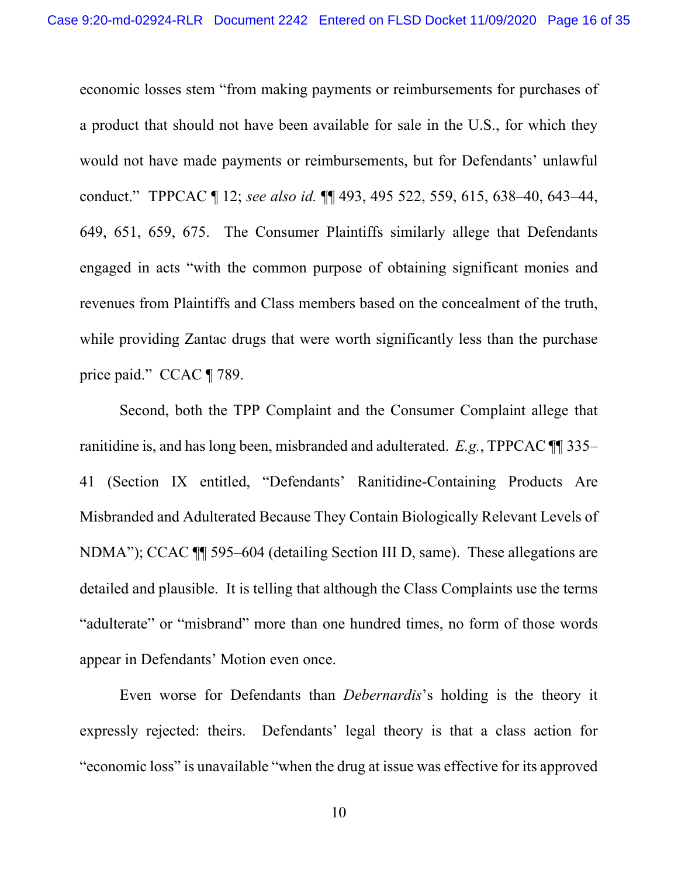economic losses stem "from making payments or reimbursements for purchases of a product that should not have been available for sale in the U.S., for which they would not have made payments or reimbursements, but for Defendants' unlawful conduct." TPPCAC ¶ 12; *see also id.* ¶¶ 493, 495 522, 559, 615, 638–40, 643–44, 649, 651, 659, 675. The Consumer Plaintiffs similarly allege that Defendants engaged in acts "with the common purpose of obtaining significant monies and revenues from Plaintiffs and Class members based on the concealment of the truth, while providing Zantac drugs that were worth significantly less than the purchase price paid." CCAC ¶ 789.

Second, both the TPP Complaint and the Consumer Complaint allege that ranitidine is, and has long been, misbranded and adulterated. *E.g.*, TPPCAC ¶¶ 335– 41 (Section IX entitled, "Defendants' Ranitidine-Containing Products Are Misbranded and Adulterated Because They Contain Biologically Relevant Levels of NDMA"); CCAC ¶¶ 595–604 (detailing Section III D, same). These allegations are detailed and plausible. It is telling that although the Class Complaints use the terms "adulterate" or "misbrand" more than one hundred times, no form of those words appear in Defendants' Motion even once.

Even worse for Defendants than *Debernardis*'s holding is the theory it expressly rejected: theirs. Defendants' legal theory is that a class action for "economic loss" is unavailable "when the drug at issue was effective for its approved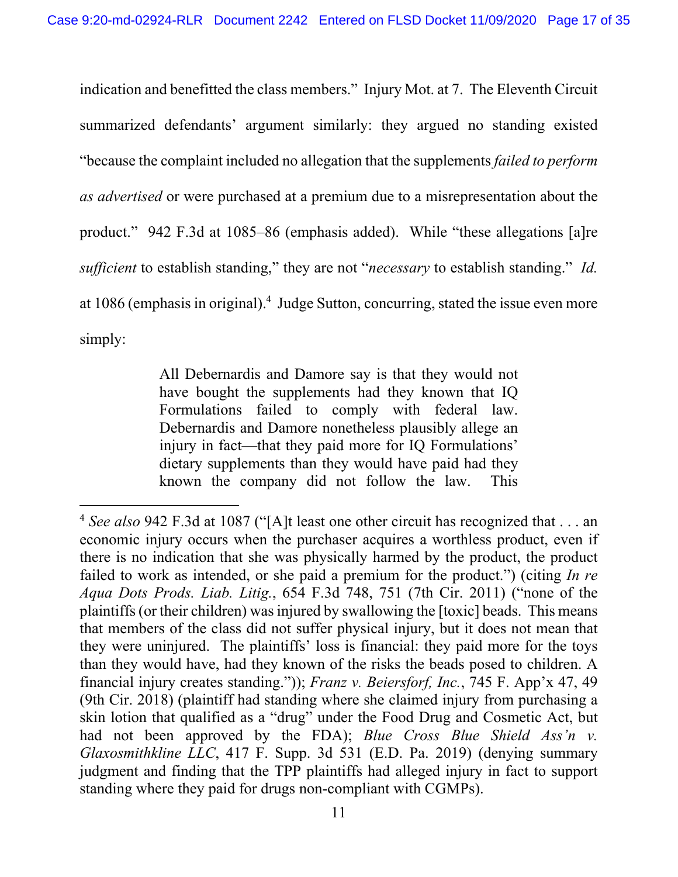indication and benefitted the class members." Injury Mot. at 7. The Eleventh Circuit summarized defendants' argument similarly: they argued no standing existed "because the complaint included no allegation that the supplements *failed to perform as advertised* or were purchased at a premium due to a misrepresentation about the product." 942 F.3d at 1085–86 (emphasis added). While "these allegations [a]re *sufficient* to establish standing," they are not "*necessary* to establish standing." *Id.* at 1086 (emphasis in original).<sup>4</sup> Judge Sutton, concurring, stated the issue even more simply:

> All Debernardis and Damore say is that they would not have bought the supplements had they known that IQ Formulations failed to comply with federal law. Debernardis and Damore nonetheless plausibly allege an injury in fact—that they paid more for IQ Formulations' dietary supplements than they would have paid had they known the company did not follow the law. This

<sup>4</sup> *See also* 942 F.3d at 1087 ("[A]t least one other circuit has recognized that . . . an economic injury occurs when the purchaser acquires a worthless product, even if there is no indication that she was physically harmed by the product, the product failed to work as intended, or she paid a premium for the product.") (citing *In re Aqua Dots Prods. Liab. Litig.*, 654 F.3d 748, 751 (7th Cir. 2011) ("none of the plaintiffs (or their children) was injured by swallowing the [toxic] beads. This means that members of the class did not suffer physical injury, but it does not mean that they were uninjured. The plaintiffs' loss is financial: they paid more for the toys than they would have, had they known of the risks the beads posed to children. A financial injury creates standing.")); *Franz v. Beiersforf, Inc.*, 745 F. App'x 47, 49 (9th Cir. 2018) (plaintiff had standing where she claimed injury from purchasing a skin lotion that qualified as a "drug" under the Food Drug and Cosmetic Act, but had not been approved by the FDA); *Blue Cross Blue Shield Ass'n v. Glaxosmithkline LLC*, 417 F. Supp. 3d 531 (E.D. Pa. 2019) (denying summary judgment and finding that the TPP plaintiffs had alleged injury in fact to support standing where they paid for drugs non-compliant with CGMPs).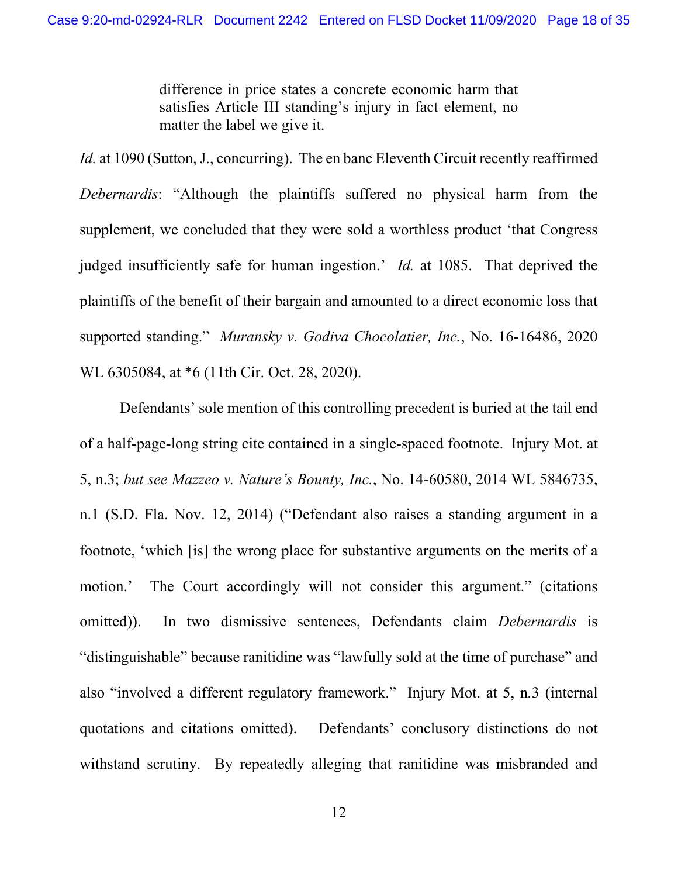difference in price states a concrete economic harm that satisfies Article III standing's injury in fact element, no matter the label we give it.

*Id.* at 1090 (Sutton, J., concurring). The en banc Eleventh Circuit recently reaffirmed *Debernardis*: "Although the plaintiffs suffered no physical harm from the supplement, we concluded that they were sold a worthless product 'that Congress judged insufficiently safe for human ingestion.' *Id.* at 1085. That deprived the plaintiffs of the benefit of their bargain and amounted to a direct economic loss that supported standing." *Muransky v. Godiva Chocolatier, Inc.*, No. 16-16486, 2020 WL 6305084, at \*6 (11th Cir. Oct. 28, 2020).

Defendants' sole mention of this controlling precedent is buried at the tail end of a half-page-long string cite contained in a single-spaced footnote. Injury Mot. at 5, n.3; *but see Mazzeo v. Nature's Bounty, Inc.*, No. 14-60580, 2014 WL 5846735, n.1 (S.D. Fla. Nov. 12, 2014) ("Defendant also raises a standing argument in a footnote, 'which [is] the wrong place for substantive arguments on the merits of a motion.' The Court accordingly will not consider this argument." (citations omitted)). In two dismissive sentences, Defendants claim *Debernardis* is "distinguishable" because ranitidine was "lawfully sold at the time of purchase" and also "involved a different regulatory framework." Injury Mot. at 5, n*.*3 (internal quotations and citations omitted). Defendants' conclusory distinctions do not withstand scrutiny. By repeatedly alleging that ranitidine was misbranded and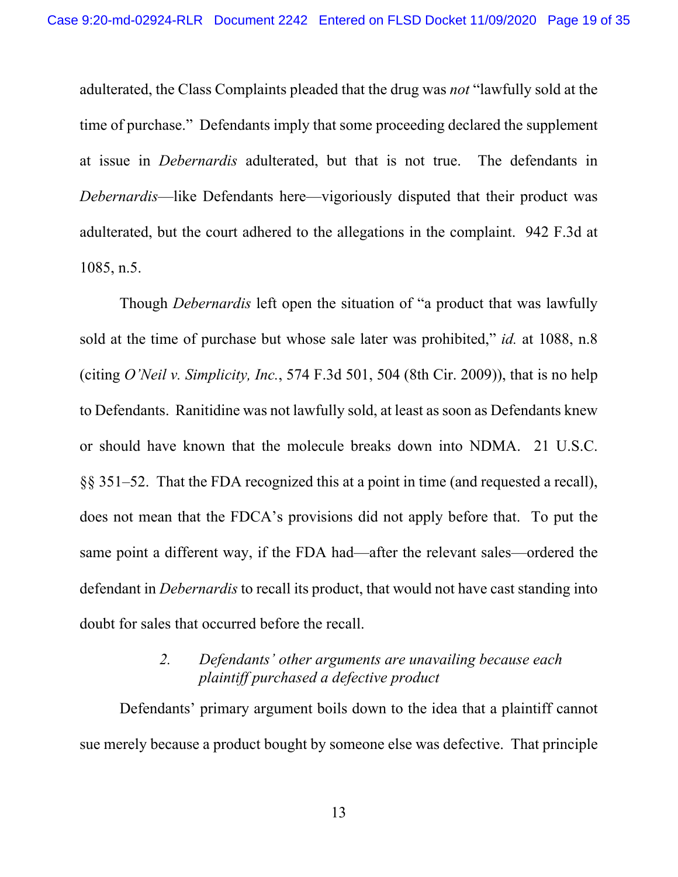adulterated, the Class Complaints pleaded that the drug was *not* "lawfully sold at the time of purchase." Defendants imply that some proceeding declared the supplement at issue in *Debernardis* adulterated, but that is not true. The defendants in *Debernardis*—like Defendants here—vigoriously disputed that their product was adulterated, but the court adhered to the allegations in the complaint. 942 F.3d at 1085, n.5.

Though *Debernardis* left open the situation of "a product that was lawfully sold at the time of purchase but whose sale later was prohibited," *id.* at 1088, n.8 (citing *O'Neil v. Simplicity, Inc.*, 574 F.3d 501, 504 (8th Cir. 2009)), that is no help to Defendants. Ranitidine was not lawfully sold, at least as soon as Defendants knew or should have known that the molecule breaks down into NDMA. 21 U.S.C. §§ 351–52. That the FDA recognized this at a point in time (and requested a recall), does not mean that the FDCA's provisions did not apply before that. To put the same point a different way, if the FDA had—after the relevant sales—ordered the defendant in *Debernardis* to recall its product, that would not have cast standing into doubt for sales that occurred before the recall.

## *2. Defendants' other arguments are unavailing because each plaintiff purchased a defective product*

Defendants' primary argument boils down to the idea that a plaintiff cannot sue merely because a product bought by someone else was defective. That principle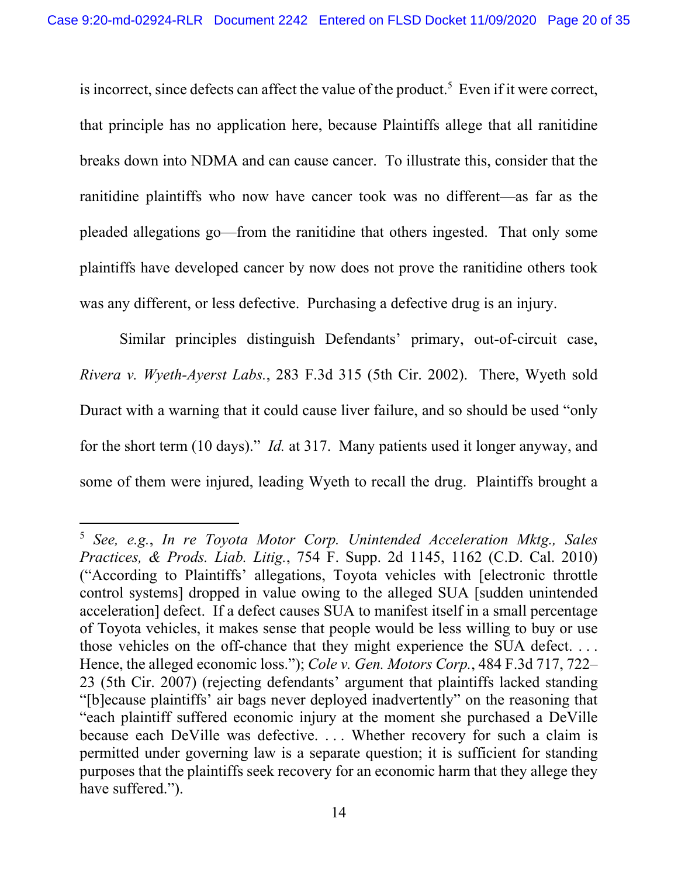is incorrect, since defects can affect the value of the product.<sup>5</sup> Even if it were correct, that principle has no application here, because Plaintiffs allege that all ranitidine breaks down into NDMA and can cause cancer. To illustrate this, consider that the ranitidine plaintiffs who now have cancer took was no different—as far as the pleaded allegations go—from the ranitidine that others ingested. That only some plaintiffs have developed cancer by now does not prove the ranitidine others took was any different, or less defective. Purchasing a defective drug is an injury.

Similar principles distinguish Defendants' primary, out-of-circuit case, *Rivera v. Wyeth-Ayerst Labs.*, 283 F.3d 315 (5th Cir. 2002). There, Wyeth sold Duract with a warning that it could cause liver failure, and so should be used "only for the short term (10 days)." *Id.* at 317. Many patients used it longer anyway, and some of them were injured, leading Wyeth to recall the drug. Plaintiffs brought a

<sup>5</sup> *See, e.g.*, *In re Toyota Motor Corp. Unintended Acceleration Mktg., Sales Practices, & Prods. Liab. Litig.*, 754 F. Supp. 2d 1145, 1162 (C.D. Cal. 2010) ("According to Plaintiffs' allegations, Toyota vehicles with [electronic throttle control systems] dropped in value owing to the alleged SUA [sudden unintended acceleration] defect. If a defect causes SUA to manifest itself in a small percentage of Toyota vehicles, it makes sense that people would be less willing to buy or use those vehicles on the off-chance that they might experience the SUA defect. . . . Hence, the alleged economic loss."); *Cole v. Gen. Motors Corp.*, 484 F.3d 717, 722– 23 (5th Cir. 2007) (rejecting defendants' argument that plaintiffs lacked standing "[b]ecause plaintiffs' air bags never deployed inadvertently" on the reasoning that "each plaintiff suffered economic injury at the moment she purchased a DeVille because each DeVille was defective. . . . Whether recovery for such a claim is permitted under governing law is a separate question; it is sufficient for standing purposes that the plaintiffs seek recovery for an economic harm that they allege they have suffered.").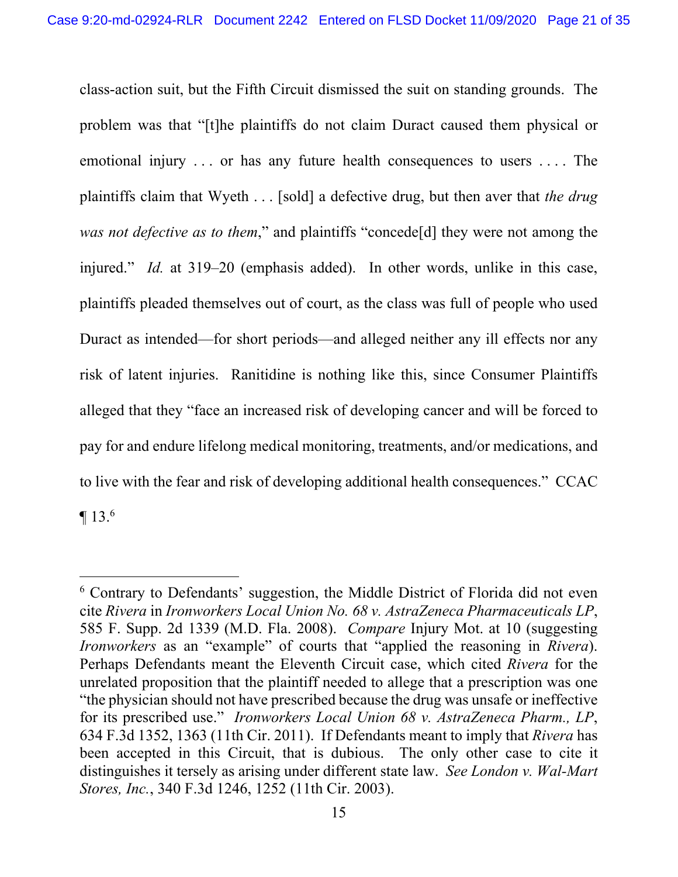class-action suit, but the Fifth Circuit dismissed the suit on standing grounds. The problem was that "[t]he plaintiffs do not claim Duract caused them physical or emotional injury . . . or has any future health consequences to users . . . . The plaintiffs claim that Wyeth . . . [sold] a defective drug, but then aver that *the drug was not defective as to them*," and plaintiffs "concede[d] they were not among the injured." *Id.* at 319–20 (emphasis added). In other words, unlike in this case, plaintiffs pleaded themselves out of court, as the class was full of people who used Duract as intended—for short periods—and alleged neither any ill effects nor any risk of latent injuries. Ranitidine is nothing like this, since Consumer Plaintiffs alleged that they "face an increased risk of developing cancer and will be forced to pay for and endure lifelong medical monitoring, treatments, and/or medications, and to live with the fear and risk of developing additional health consequences." CCAC  $\P$  13.<sup>6</sup>

<sup>&</sup>lt;sup>6</sup> Contrary to Defendants' suggestion, the Middle District of Florida did not even cite *Rivera* in *Ironworkers Local Union No. 68 v. AstraZeneca Pharmaceuticals LP*, 585 F. Supp. 2d 1339 (M.D. Fla. 2008). *Compare* Injury Mot. at 10 (suggesting *Ironworkers* as an "example" of courts that "applied the reasoning in *Rivera*). Perhaps Defendants meant the Eleventh Circuit case, which cited *Rivera* for the unrelated proposition that the plaintiff needed to allege that a prescription was one "the physician should not have prescribed because the drug was unsafe or ineffective for its prescribed use." *Ironworkers Local Union 68 v. AstraZeneca Pharm., LP*, 634 F.3d 1352, 1363 (11th Cir. 2011). If Defendants meant to imply that *Rivera* has been accepted in this Circuit, that is dubious. The only other case to cite it distinguishes it tersely as arising under different state law. *See London v. Wal-Mart Stores, Inc.*, 340 F.3d 1246, 1252 (11th Cir. 2003).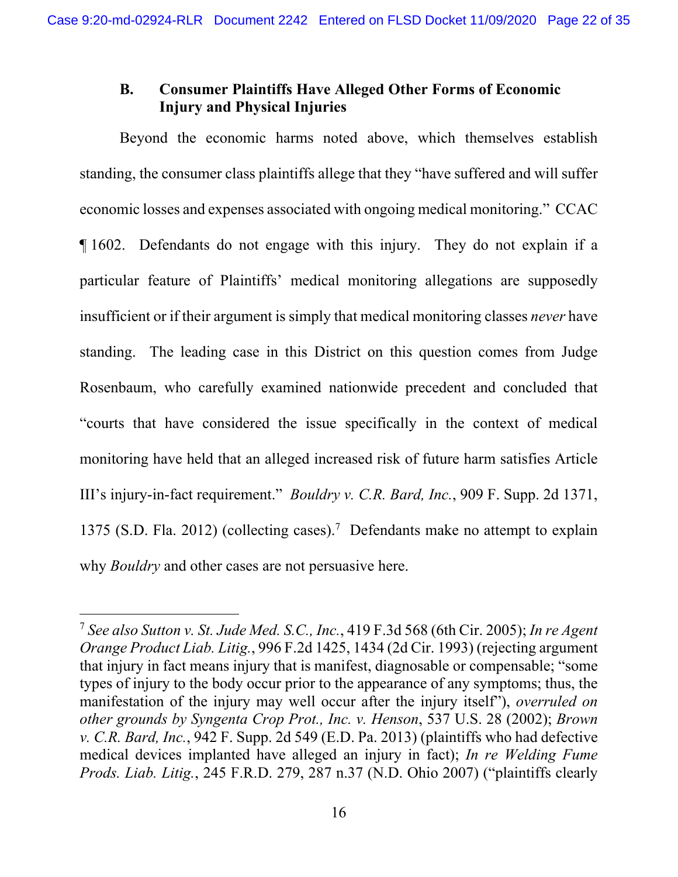## **B. Consumer Plaintiffs Have Alleged Other Forms of Economic Injury and Physical Injuries**

Beyond the economic harms noted above, which themselves establish standing, the consumer class plaintiffs allege that they "have suffered and will suffer economic losses and expenses associated with ongoing medical monitoring." CCAC ¶ 1602. Defendants do not engage with this injury. They do not explain if a particular feature of Plaintiffs' medical monitoring allegations are supposedly insufficient or if their argument is simply that medical monitoring classes *never* have standing. The leading case in this District on this question comes from Judge Rosenbaum, who carefully examined nationwide precedent and concluded that "courts that have considered the issue specifically in the context of medical monitoring have held that an alleged increased risk of future harm satisfies Article III's injury-in-fact requirement." *Bouldry v. C.R. Bard, Inc.*, 909 F. Supp. 2d 1371, 1375 (S.D. Fla. 2012) (collecting cases).<sup>7</sup> Defendants make no attempt to explain why *Bouldry* and other cases are not persuasive here.

<sup>7</sup> *See also Sutton v. St. Jude Med. S.C., Inc.*, 419 F.3d 568 (6th Cir. 2005); *In re Agent Orange Product Liab. Litig.*, 996 F.2d 1425, 1434 (2d Cir. 1993) (rejecting argument that injury in fact means injury that is manifest, diagnosable or compensable; "some types of injury to the body occur prior to the appearance of any symptoms; thus, the manifestation of the injury may well occur after the injury itself"), *overruled on other grounds by Syngenta Crop Prot., Inc. v. Henson*, 537 U.S. 28 (2002); *Brown v. C.R. Bard, Inc.*, 942 F. Supp. 2d 549 (E.D. Pa. 2013) (plaintiffs who had defective medical devices implanted have alleged an injury in fact); *In re Welding Fume Prods. Liab. Litig.*, 245 F.R.D. 279, 287 n.37 (N.D. Ohio 2007) ("plaintiffs clearly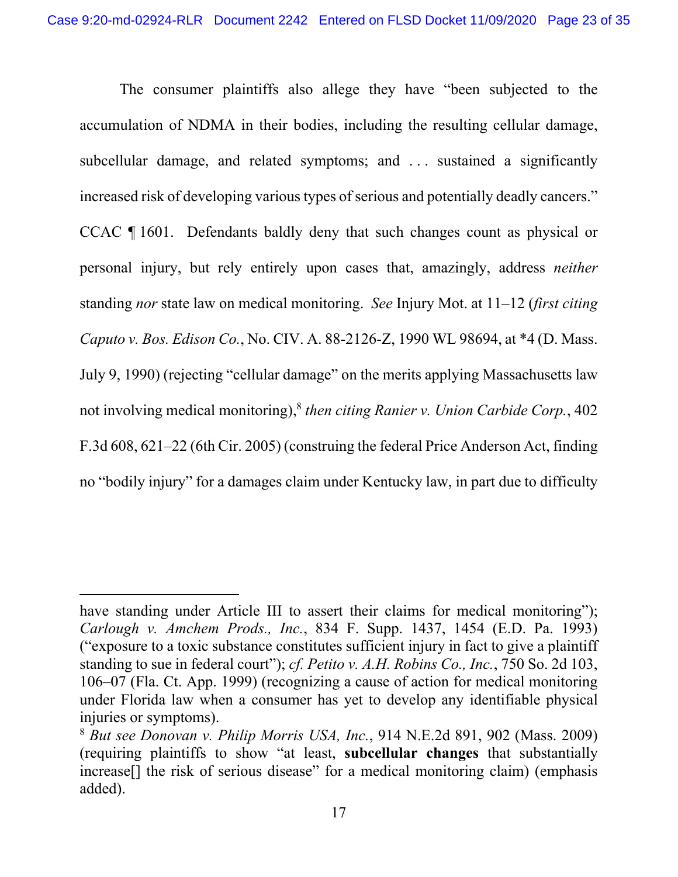The consumer plaintiffs also allege they have "been subjected to the accumulation of NDMA in their bodies, including the resulting cellular damage, subcellular damage, and related symptoms; and . . . sustained a significantly increased risk of developing various types of serious and potentially deadly cancers." CCAC ¶ 1601. Defendants baldly deny that such changes count as physical or personal injury, but rely entirely upon cases that, amazingly, address *neither*  standing *nor* state law on medical monitoring. *See* Injury Mot. at 11–12 (*first citing Caputo v. Bos. Edison Co.*, No. CIV. A. 88-2126-Z, 1990 WL 98694, at \*4 (D. Mass. July 9, 1990) (rejecting "cellular damage" on the merits applying Massachusetts law not involving medical monitoring),8 *then citing Ranier v. Union Carbide Corp.*, 402 F.3d 608, 621–22 (6th Cir. 2005) (construing the federal Price Anderson Act, finding no "bodily injury" for a damages claim under Kentucky law, in part due to difficulty

have standing under Article III to assert their claims for medical monitoring"); *Carlough v. Amchem Prods., Inc.*, 834 F. Supp. 1437, 1454 (E.D. Pa. 1993) ("exposure to a toxic substance constitutes sufficient injury in fact to give a plaintiff standing to sue in federal court"); *cf. Petito v. A.H. Robins Co., Inc.*, 750 So. 2d 103, 106–07 (Fla. Ct. App. 1999) (recognizing a cause of action for medical monitoring under Florida law when a consumer has yet to develop any identifiable physical injuries or symptoms).

<sup>8</sup> *But see Donovan v. Philip Morris USA, Inc.*, 914 N.E.2d 891, 902 (Mass. 2009) (requiring plaintiffs to show "at least, **subcellular changes** that substantially increase<sup>[]</sup> the risk of serious disease" for a medical monitoring claim) (emphasis added).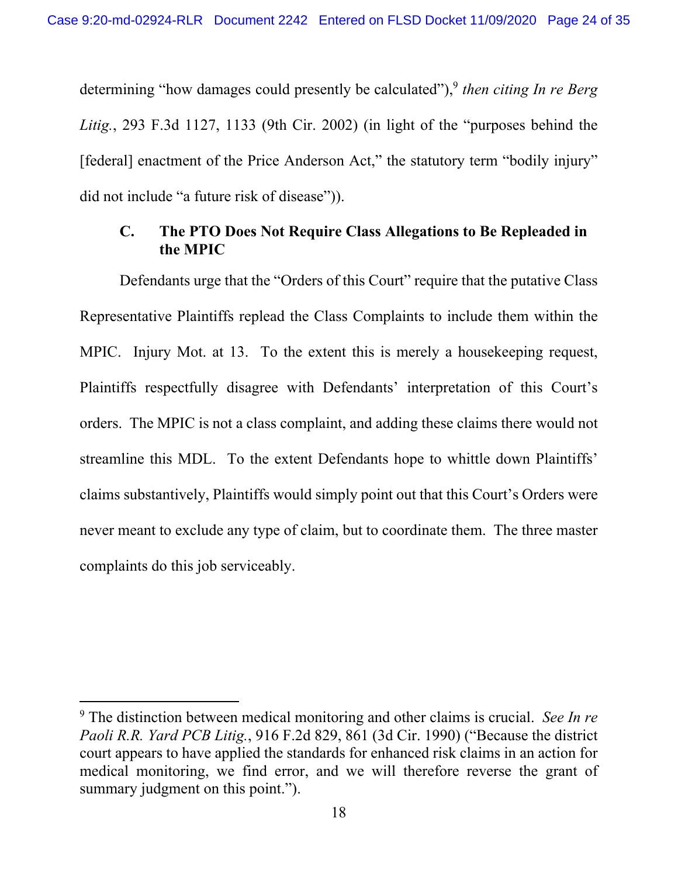determining "how damages could presently be calculated"),<sup>9</sup> *then citing In re Berg Litig.*, 293 F.3d 1127, 1133 (9th Cir. 2002) (in light of the "purposes behind the [federal] enactment of the Price Anderson Act," the statutory term "bodily injury" did not include "a future risk of disease")).

## **C. The PTO Does Not Require Class Allegations to Be Repleaded in the MPIC**

Defendants urge that the "Orders of this Court" require that the putative Class Representative Plaintiffs replead the Class Complaints to include them within the MPIC. Injury Mot. at 13. To the extent this is merely a housekeeping request, Plaintiffs respectfully disagree with Defendants' interpretation of this Court's orders. The MPIC is not a class complaint, and adding these claims there would not streamline this MDL. To the extent Defendants hope to whittle down Plaintiffs' claims substantively, Plaintiffs would simply point out that this Court's Orders were never meant to exclude any type of claim, but to coordinate them. The three master complaints do this job serviceably.

<sup>9</sup> The distinction between medical monitoring and other claims is crucial. *See In re Paoli R.R. Yard PCB Litig.*, 916 F.2d 829, 861 (3d Cir. 1990) ("Because the district court appears to have applied the standards for enhanced risk claims in an action for medical monitoring, we find error, and we will therefore reverse the grant of summary judgment on this point.").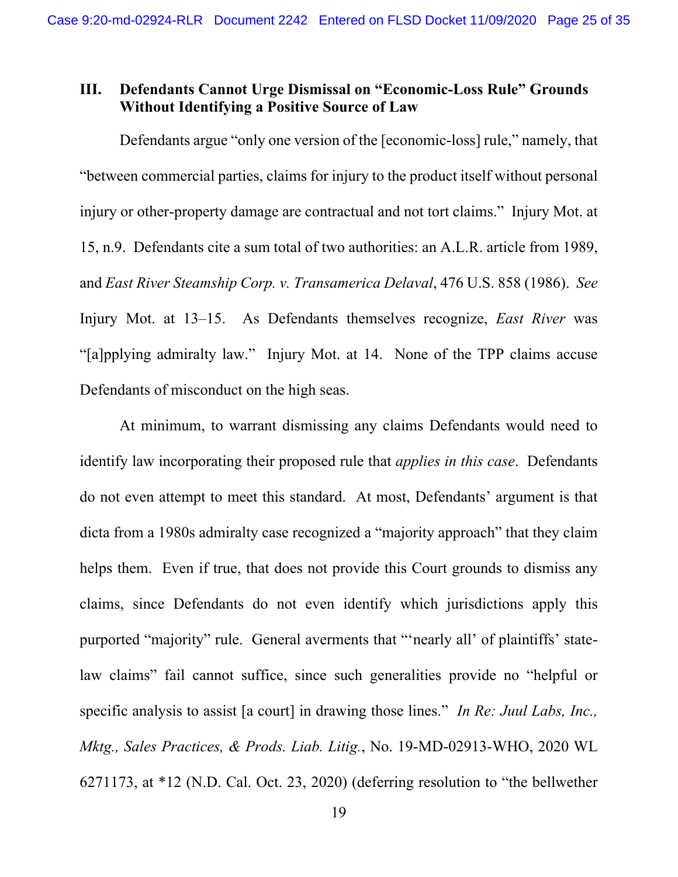## **III. Defendants Cannot Urge Dismissal on "Economic-Loss Rule" Grounds Without Identifying a Positive Source of Law**

Defendants argue "only one version of the [economic-loss] rule," namely, that "between commercial parties, claims for injury to the product itself without personal injury or other-property damage are contractual and not tort claims." Injury Mot. at 15, n.9. Defendants cite a sum total of two authorities: an A.L.R. article from 1989, and *East River Steamship Corp. v. Transamerica Delaval*, 476 U.S. 858 (1986). *See* Injury Mot. at 13–15. As Defendants themselves recognize, *East River* was "[a]pplying admiralty law." Injury Mot. at 14. None of the TPP claims accuse Defendants of misconduct on the high seas.

At minimum, to warrant dismissing any claims Defendants would need to identify law incorporating their proposed rule that *applies in this case*. Defendants do not even attempt to meet this standard. At most, Defendants' argument is that dicta from a 1980s admiralty case recognized a "majority approach" that they claim helps them. Even if true, that does not provide this Court grounds to dismiss any claims, since Defendants do not even identify which jurisdictions apply this purported "majority" rule. General averments that "'nearly all' of plaintiffs' statelaw claims" fail cannot suffice, since such generalities provide no "helpful or specific analysis to assist [a court] in drawing those lines." *In Re: Juul Labs, Inc., Mktg., Sales Practices, & Prods. Liab. Litig.*, No. 19-MD-02913-WHO, 2020 WL 6271173, at \*12 (N.D. Cal. Oct. 23, 2020) (deferring resolution to "the bellwether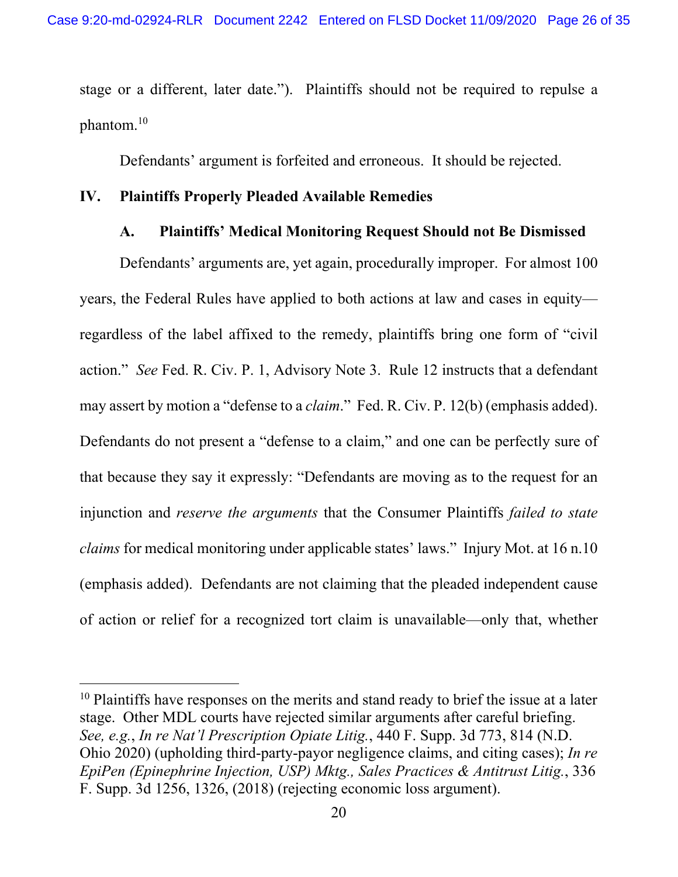stage or a different, later date."). Plaintiffs should not be required to repulse a phantom.10

Defendants' argument is forfeited and erroneous. It should be rejected.

## **IV. Plaintiffs Properly Pleaded Available Remedies**

## **A. Plaintiffs' Medical Monitoring Request Should not Be Dismissed**

Defendants' arguments are, yet again, procedurally improper. For almost 100 years, the Federal Rules have applied to both actions at law and cases in equity regardless of the label affixed to the remedy, plaintiffs bring one form of "civil action." *See* Fed. R. Civ. P. 1, Advisory Note 3. Rule 12 instructs that a defendant may assert by motion a "defense to a *claim*." Fed. R. Civ. P. 12(b) (emphasis added). Defendants do not present a "defense to a claim," and one can be perfectly sure of that because they say it expressly: "Defendants are moving as to the request for an injunction and *reserve the arguments* that the Consumer Plaintiffs *failed to state claims* for medical monitoring under applicable states' laws." Injury Mot. at 16 n.10 (emphasis added). Defendants are not claiming that the pleaded independent cause of action or relief for a recognized tort claim is unavailable—only that, whether

 $10$  Plaintiffs have responses on the merits and stand ready to brief the issue at a later stage. Other MDL courts have rejected similar arguments after careful briefing. *See, e.g.*, *In re Nat'l Prescription Opiate Litig.*, 440 F. Supp. 3d 773, 814 (N.D. Ohio 2020) (upholding third-party-payor negligence claims, and citing cases); *In re EpiPen (Epinephrine Injection, USP) Mktg., Sales Practices & Antitrust Litig.*, 336 F. Supp. 3d 1256, 1326, (2018) (rejecting economic loss argument).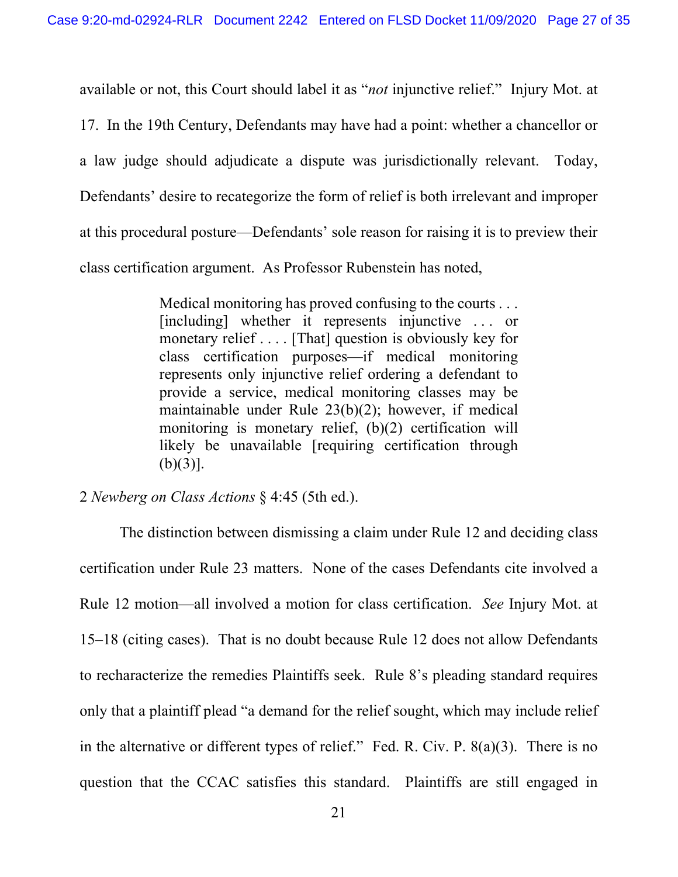available or not, this Court should label it as "*not* injunctive relief." Injury Mot. at

17. In the 19th Century, Defendants may have had a point: whether a chancellor or a law judge should adjudicate a dispute was jurisdictionally relevant. Today, Defendants' desire to recategorize the form of relief is both irrelevant and improper at this procedural posture—Defendants' sole reason for raising it is to preview their class certification argument. As Professor Rubenstein has noted,

> Medical monitoring has proved confusing to the courts . . . [including] whether it represents injunctive ... or monetary relief . . . . [That] question is obviously key for class certification purposes—if medical monitoring represents only injunctive relief ordering a defendant to provide a service, medical monitoring classes may be maintainable under Rule 23(b)(2); however, if medical monitoring is monetary relief, (b)(2) certification will likely be unavailable [requiring certification through  $(b)(3)$ ].

2 *Newberg on Class Actions* § 4:45 (5th ed.).

The distinction between dismissing a claim under Rule 12 and deciding class certification under Rule 23 matters. None of the cases Defendants cite involved a Rule 12 motion—all involved a motion for class certification. *See* Injury Mot. at 15–18 (citing cases). That is no doubt because Rule 12 does not allow Defendants to recharacterize the remedies Plaintiffs seek. Rule 8's pleading standard requires only that a plaintiff plead "a demand for the relief sought, which may include relief in the alternative or different types of relief." Fed. R. Civ. P. 8(a)(3). There is no question that the CCAC satisfies this standard. Plaintiffs are still engaged in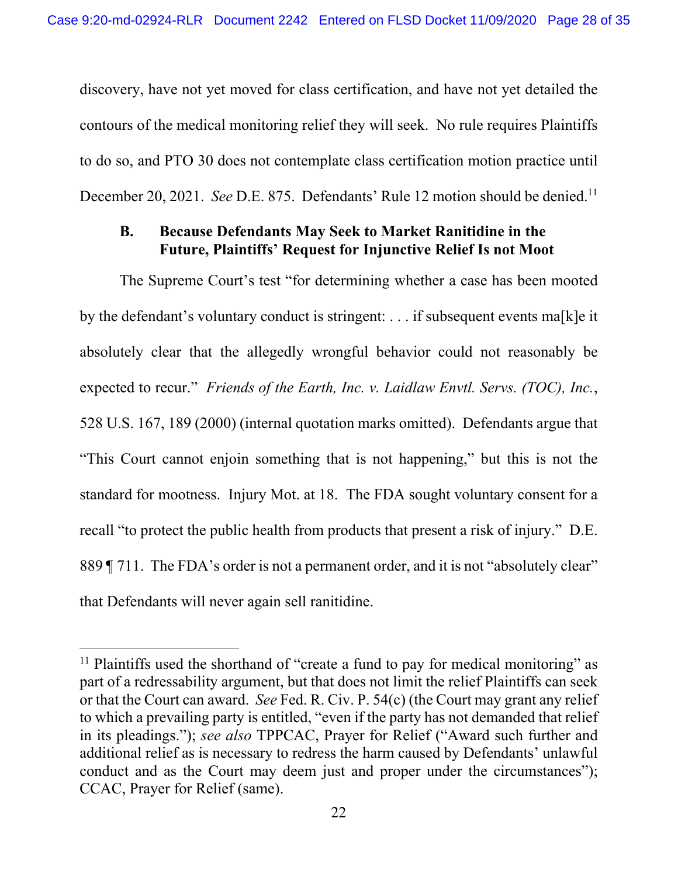discovery, have not yet moved for class certification, and have not yet detailed the contours of the medical monitoring relief they will seek. No rule requires Plaintiffs to do so, and PTO 30 does not contemplate class certification motion practice until December 20, 2021. *See* D.E. 875. Defendants' Rule 12 motion should be denied.<sup>11</sup>

## **B. Because Defendants May Seek to Market Ranitidine in the Future, Plaintiffs' Request for Injunctive Relief Is not Moot**

The Supreme Court's test "for determining whether a case has been mooted by the defendant's voluntary conduct is stringent: . . . if subsequent events ma[k]e it absolutely clear that the allegedly wrongful behavior could not reasonably be expected to recur." *Friends of the Earth, Inc. v. Laidlaw Envtl. Servs. (TOC), Inc.*, 528 U.S. 167, 189 (2000) (internal quotation marks omitted). Defendants argue that "This Court cannot enjoin something that is not happening," but this is not the standard for mootness. Injury Mot. at 18. The FDA sought voluntary consent for a recall "to protect the public health from products that present a risk of injury." D.E. 889 [ 711. The FDA's order is not a permanent order, and it is not "absolutely clear" that Defendants will never again sell ranitidine.

<sup>&</sup>lt;sup>11</sup> Plaintiffs used the shorthand of "create a fund to pay for medical monitoring" as part of a redressability argument, but that does not limit the relief Plaintiffs can seek or that the Court can award. *See* Fed. R. Civ. P. 54(c) (the Court may grant any relief to which a prevailing party is entitled, "even if the party has not demanded that relief in its pleadings."); *see also* TPPCAC, Prayer for Relief ("Award such further and additional relief as is necessary to redress the harm caused by Defendants' unlawful conduct and as the Court may deem just and proper under the circumstances"); CCAC, Prayer for Relief (same).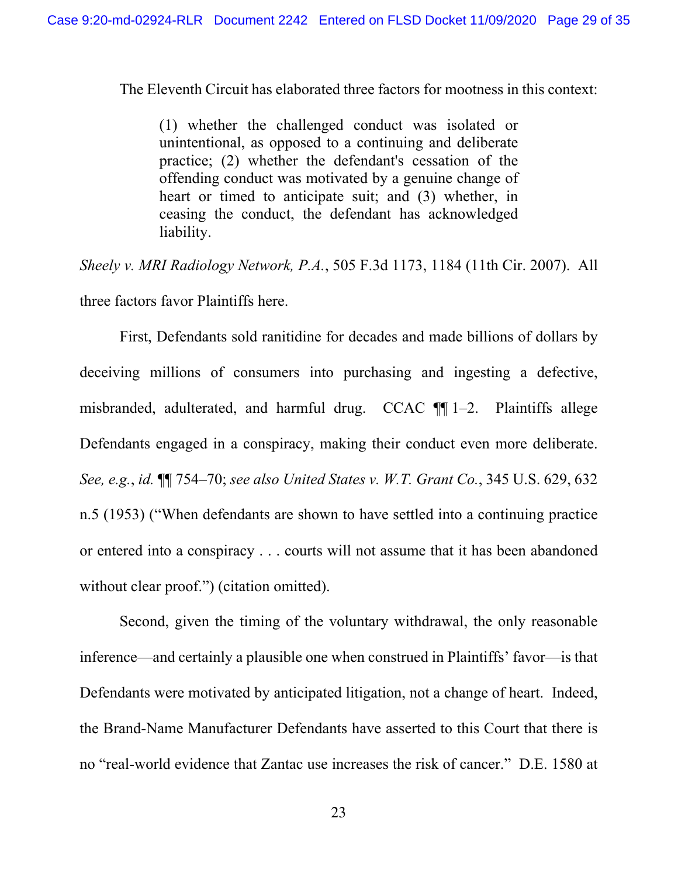The Eleventh Circuit has elaborated three factors for mootness in this context:

(1) whether the challenged conduct was isolated or unintentional, as opposed to a continuing and deliberate practice; (2) whether the defendant's cessation of the offending conduct was motivated by a genuine change of heart or timed to anticipate suit; and (3) whether, in ceasing the conduct, the defendant has acknowledged liability.

*Sheely v. MRI Radiology Network, P.A.*, 505 F.3d 1173, 1184 (11th Cir. 2007). All three factors favor Plaintiffs here.

First, Defendants sold ranitidine for decades and made billions of dollars by deceiving millions of consumers into purchasing and ingesting a defective, misbranded, adulterated, and harmful drug. CCAC ¶¶ 1–2. Plaintiffs allege Defendants engaged in a conspiracy, making their conduct even more deliberate. *See, e.g.*, *id.* ¶¶ 754–70; *see also United States v. W.T. Grant Co.*, 345 U.S. 629, 632 n.5 (1953) ("When defendants are shown to have settled into a continuing practice or entered into a conspiracy . . . courts will not assume that it has been abandoned without clear proof.") (citation omitted).

Second, given the timing of the voluntary withdrawal, the only reasonable inference—and certainly a plausible one when construed in Plaintiffs' favor—is that Defendants were motivated by anticipated litigation, not a change of heart. Indeed, the Brand-Name Manufacturer Defendants have asserted to this Court that there is no "real-world evidence that Zantac use increases the risk of cancer." D.E. 1580 at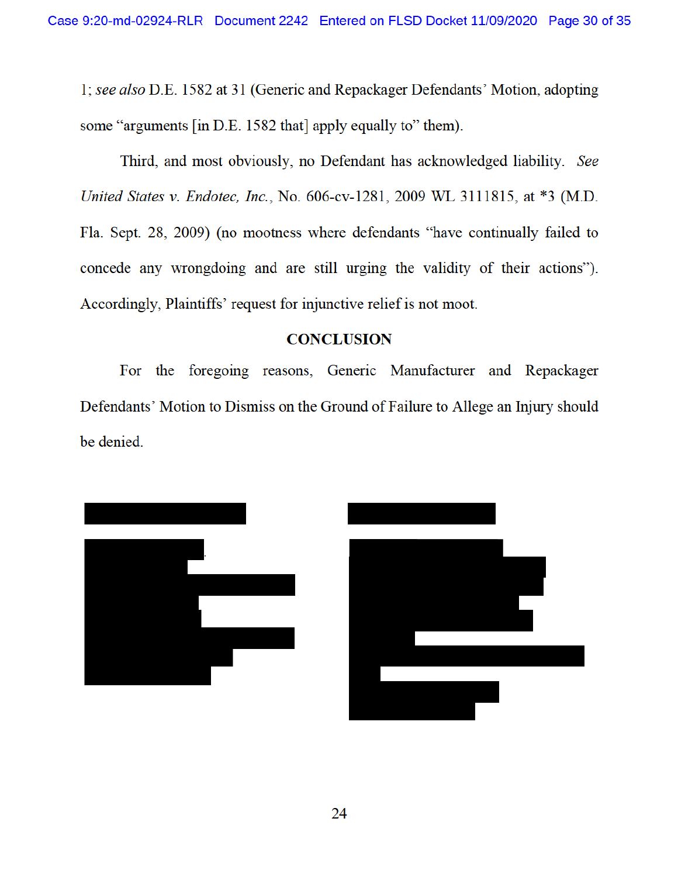1; see also D.E. 1582 at 31 (Generic and Repackager Defendants' Motion, adopting some "arguments [in D.E. 1582 that] apply equally to" them).

Third, and most obviously, no Defendant has acknowledged liability. See United States v. Endotec, Inc., No. 606-cv-1281, 2009 WL 3111815, at \*3 (M.D. Fla. Sept. 28, 2009) (no mootness where defendants "have continually failed to concede any wrongdoing and are still urging the validity of their actions"). Accordingly, Plaintiffs' request for injunctive relief is not moot.

#### **CONCLUSION**

For the foregoing reasons, Generic Manufacturer and Repackager Defendants' Motion to Dismiss on the Ground of Failure to Allege an Injury should be denied.



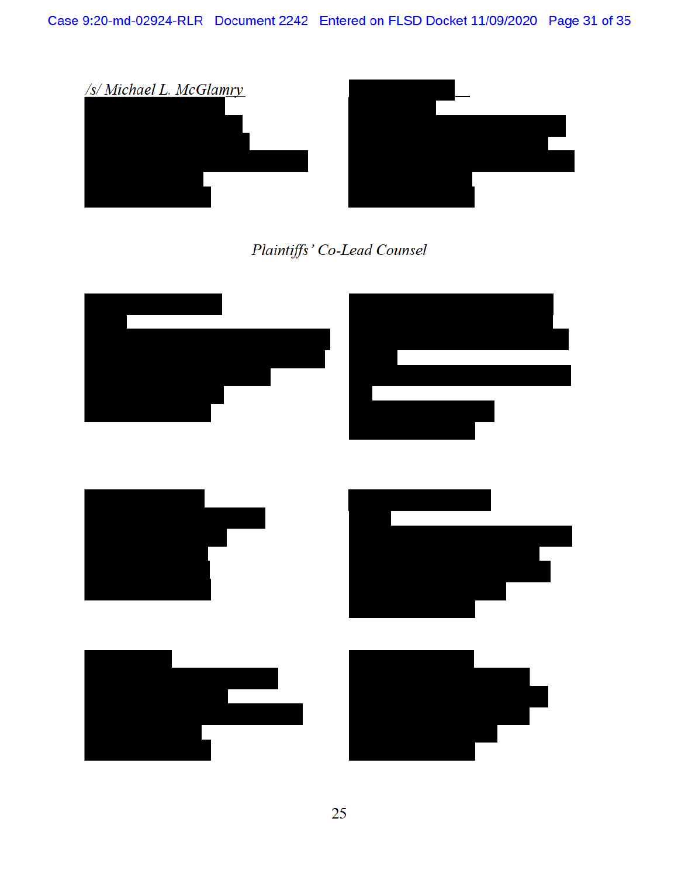

# Plaintiffs' Co-Lead Counsel

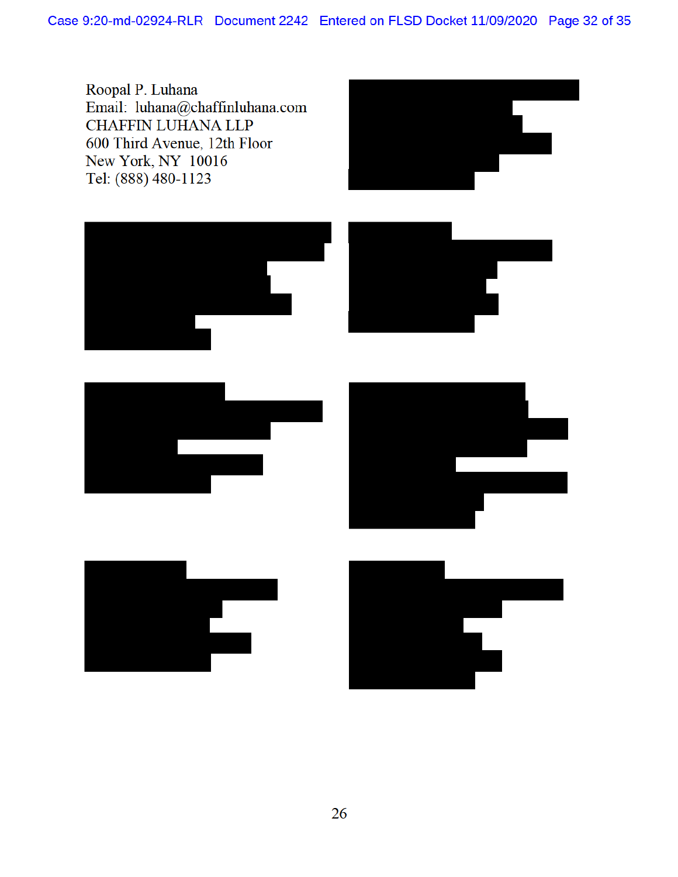Roopal P. Luhana Email: luhana@chaffinluhana.com **CHAFFIN LUHANA LLP** 600 Third Avenue, 12th Floor New York, NY 10016 Tel: (888) 480-1123



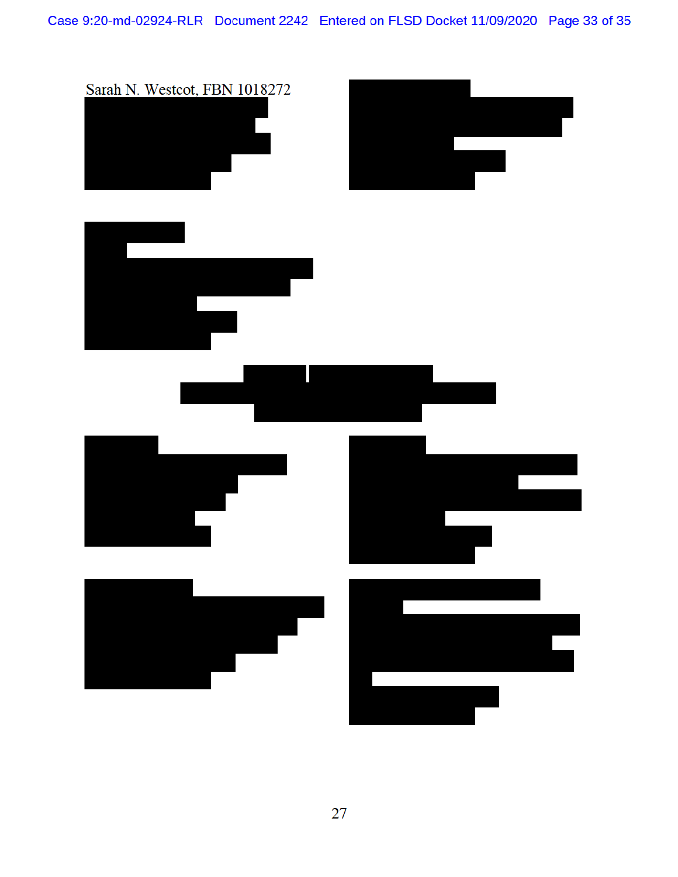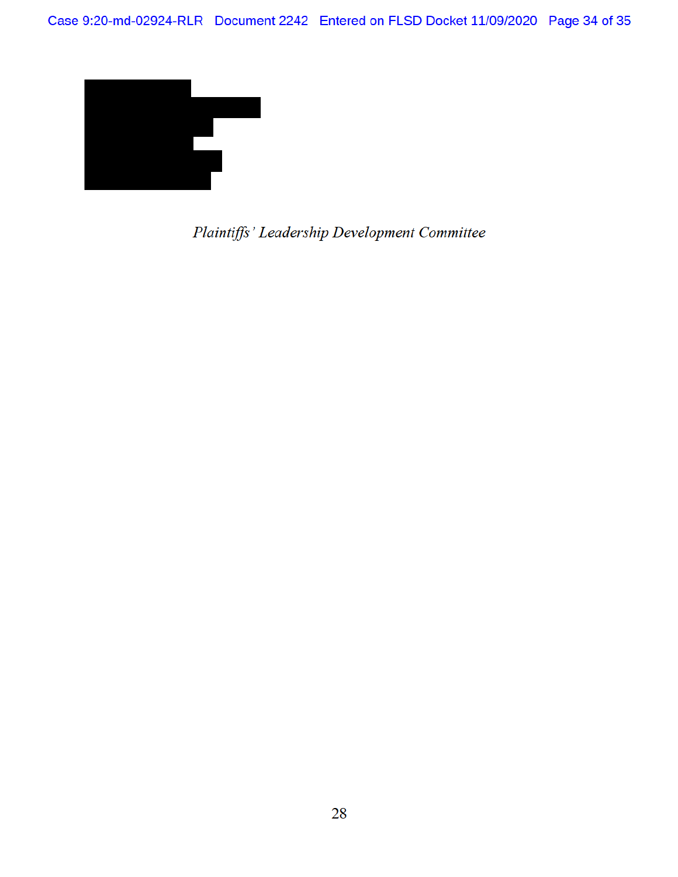

Plaintiffs' Leadership Development Committee